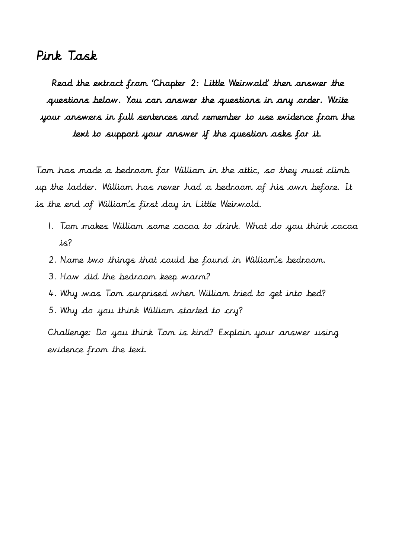## Pink Task

Read the extract from 'Chapter 2: Little Weirwold' then answer the questions below. You can answer the questions in any order. Write your answers in full sentences and remember to use evidence from the text to support your answer if the question asks for it.

Tom has made a bedroom for William in the attic, so they must climb up the ladder. William has never had a bedroom of his own before. It is the end of William's first day in Little Weirwold.

- 1. Tom makes William some cocoa to drink. What do you think cocoa is?
- 2. Name two things that could be found in William's bedroom.
- 3. How did the bedroom keep warm?
- 4. Why was Tom surprised when William tried to get into bed?
- 5. Why do you think William started to cry?

Challenge: Do you think Tom is kind? Explain your answer using evidence from the text.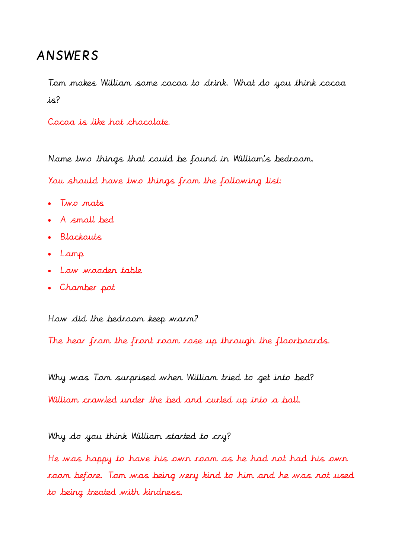## ANSWERS

Tom makes William some cocoa to drink. What do you think cocoa is?

Cocoa is like hot chocolate.

Name two things that could be found in William's bedroom.

You should have two things from the following list:

- Two mats
- A small bed
- Blackouts
- Lamp
- Low wooden table
- Chamber pot

How did the bedroom keep warm?

The hear from the front room rose up through the floorboards.

Why was Tom surprised when William tried to get into bed?

William crawled under the bed and curled up into a ball.

Why do you think William started to cry?

He was happy to have his own room as he had not had his own room before. Tom was being very kind to him and he was not used to being treated with kindness.